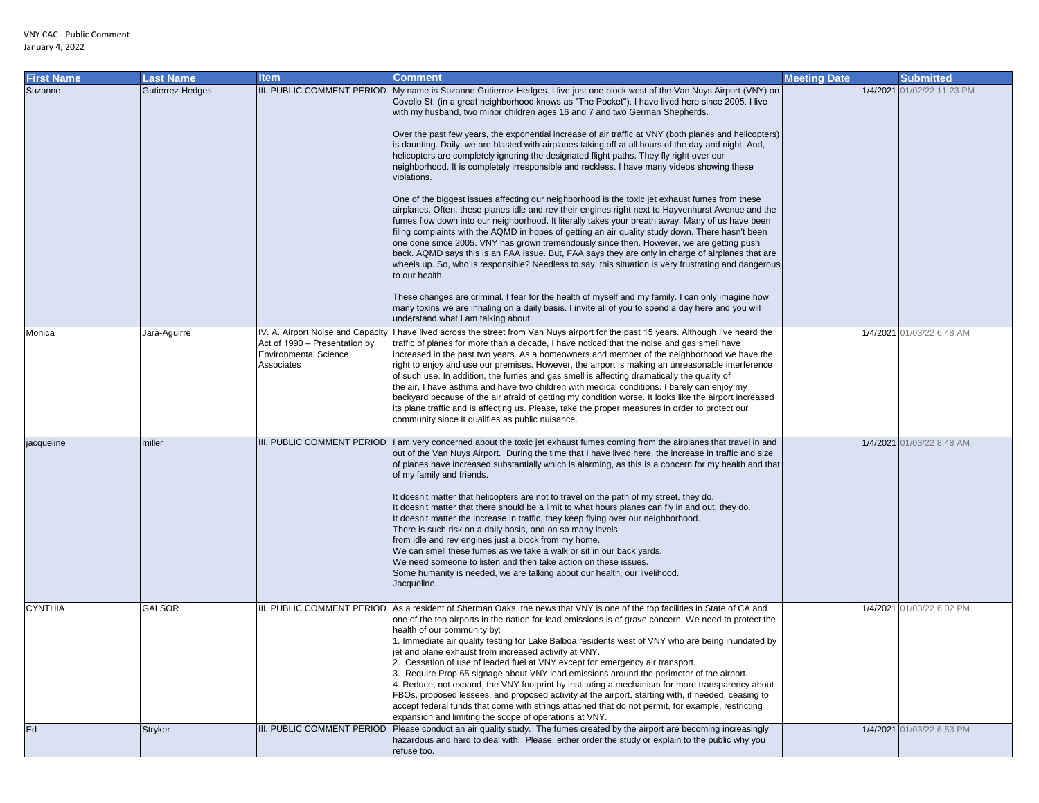| <b>First Name</b> | <b>Last Name</b> | <b>Item</b>                                                                                                      | <b>Comment</b>                                                                                                                                                                                                                                                                                                                                                                                                                                                                                                                                                                                                                                                                                                                                                                                                                                                                                                                                                                                                                                                                                                                                                                                                                                                                                                                                                                                                                                                                                                                                                                                                                                                                                               | <b>Meeting Date</b> | <b>Submitted</b>          |
|-------------------|------------------|------------------------------------------------------------------------------------------------------------------|--------------------------------------------------------------------------------------------------------------------------------------------------------------------------------------------------------------------------------------------------------------------------------------------------------------------------------------------------------------------------------------------------------------------------------------------------------------------------------------------------------------------------------------------------------------------------------------------------------------------------------------------------------------------------------------------------------------------------------------------------------------------------------------------------------------------------------------------------------------------------------------------------------------------------------------------------------------------------------------------------------------------------------------------------------------------------------------------------------------------------------------------------------------------------------------------------------------------------------------------------------------------------------------------------------------------------------------------------------------------------------------------------------------------------------------------------------------------------------------------------------------------------------------------------------------------------------------------------------------------------------------------------------------------------------------------------------------|---------------------|---------------------------|
| Suzanne           | Gutierrez-Hedges | III. PUBLIC COMMENT PERIOD                                                                                       | My name is Suzanne Gutierrez-Hedges. I live just one block west of the Van Nuys Airport (VNY) on<br>Covello St. (in a great neighborhood knows as "The Pocket"). I have lived here since 2005. I live<br>with my husband, two minor children ages 16 and 7 and two German Shepherds.<br>Over the past few years, the exponential increase of air traffic at VNY (both planes and helicopters)<br>is daunting. Daily, we are blasted with airplanes taking off at all hours of the day and night. And,<br>helicopters are completely ignoring the designated flight paths. They fly right over our<br>neighborhood. It is completely irresponsible and reckless. I have many videos showing these<br>violations.<br>One of the biggest issues affecting our neighborhood is the toxic jet exhaust fumes from these<br>airplanes. Often, these planes idle and rev their engines right next to Hayvenhurst Avenue and the<br>fumes flow down into our neighborhood. It literally takes your breath away. Many of us have been<br>filing complaints with the AQMD in hopes of getting an air quality study down. There hasn't been<br>one done since 2005. VNY has grown tremendously since then. However, we are getting push<br>back. AQMD says this is an FAA issue. But, FAA says they are only in charge of airplanes that are<br>wheels up. So, who is responsible? Needless to say, this situation is very frustrating and dangerous<br>to our health.<br>These changes are criminal. I fear for the health of myself and my family. I can only imagine how<br>many toxins we are inhaling on a daily basis. I invite all of you to spend a day here and you will<br>understand what I am talking about. | 1/4/2021            | 01/02/22 11:23 PM         |
| Monica            | Jara-Aguirre     | IV. A. Airport Noise and Capacity<br>Act of 1990 - Presentation by<br><b>Environmental Science</b><br>Associates | I have lived across the street from Van Nuys airport for the past 15 years. Although I've heard the<br>traffic of planes for more than a decade, I have noticed that the noise and gas smell have<br>increased in the past two years. As a homeowners and member of the neighborhood we have the<br>right to enjoy and use our premises. However, the airport is making an unreasonable interference<br>of such use. In addition, the fumes and gas smell is affecting dramatically the quality of<br>the air, I have asthma and have two children with medical conditions. I barely can enjoy my<br>backyard because of the air afraid of getting my condition worse. It looks like the airport increased<br>its plane traffic and is affecting us. Please, take the proper measures in order to protect our<br>community since it qualifies as public nuisance.                                                                                                                                                                                                                                                                                                                                                                                                                                                                                                                                                                                                                                                                                                                                                                                                                                            |                     | 1/4/2021 01/03/22 6:48 AM |
| jacqueline        | miller           |                                                                                                                  | III. PUBLIC COMMENT PERIOD  I am very concerned about the toxic jet exhaust fumes coming from the airplanes that travel in and<br>out of the Van Nuys Airport. During the time that I have lived here, the increase in traffic and size<br>of planes have increased substantially which is alarming, as this is a concern for my health and that<br>of my family and friends.<br>It doesn't matter that helicopters are not to travel on the path of my street, they do.<br>It doesn't matter that there should be a limit to what hours planes can fly in and out, they do.<br>It doesn't matter the increase in traffic, they keep flying over our neighborhood.<br>There is such risk on a daily basis, and on so many levels<br>from idle and rev engines just a block from my home.<br>We can smell these fumes as we take a walk or sit in our back yards.<br>We need someone to listen and then take action on these issues.<br>Some humanity is needed, we are talking about our health, our livelihood.<br>Jacqueline.                                                                                                                                                                                                                                                                                                                                                                                                                                                                                                                                                                                                                                                                              |                     | 1/4/2021 01/03/22 8:48 AM |
| <b>CYNTHIA</b>    | <b>GALSOR</b>    |                                                                                                                  | III. PUBLIC COMMENT PERIOD As a resident of Sherman Oaks, the news that VNY is one of the top facilities in State of CA and<br>one of the top airports in the nation for lead emissions is of grave concern. We need to protect the<br>health of our community by:<br>1. Immediate air quality testing for Lake Balboa residents west of VNY who are being inundated by<br>jet and plane exhaust from increased activity at VNY.<br>2. Cessation of use of leaded fuel at VNY except for emergency air transport.<br>3. Require Prop 65 signage about VNY lead emissions around the perimeter of the airport.<br>4. Reduce, not expand, the VNY footprint by instituting a mechanism for more transparency about<br>FBOs, proposed lessees, and proposed activity at the airport, starting with, if needed, ceasing to<br>accept federal funds that come with strings attached that do not permit, for example, restricting<br>expansion and limiting the scope of operations at VNY.                                                                                                                                                                                                                                                                                                                                                                                                                                                                                                                                                                                                                                                                                                                        |                     | 1/4/2021 01/03/22 6:02 PM |
| Ed                | <b>Stryker</b>   |                                                                                                                  | III. PUBLIC COMMENT PERIOD Please conduct an air quality study. The fumes created by the airport are becoming increasingly<br>hazardous and hard to deal with. Please, either order the study or explain to the public why you<br>refuse too.                                                                                                                                                                                                                                                                                                                                                                                                                                                                                                                                                                                                                                                                                                                                                                                                                                                                                                                                                                                                                                                                                                                                                                                                                                                                                                                                                                                                                                                                |                     | 1/4/2021 01/03/22 6:53 PM |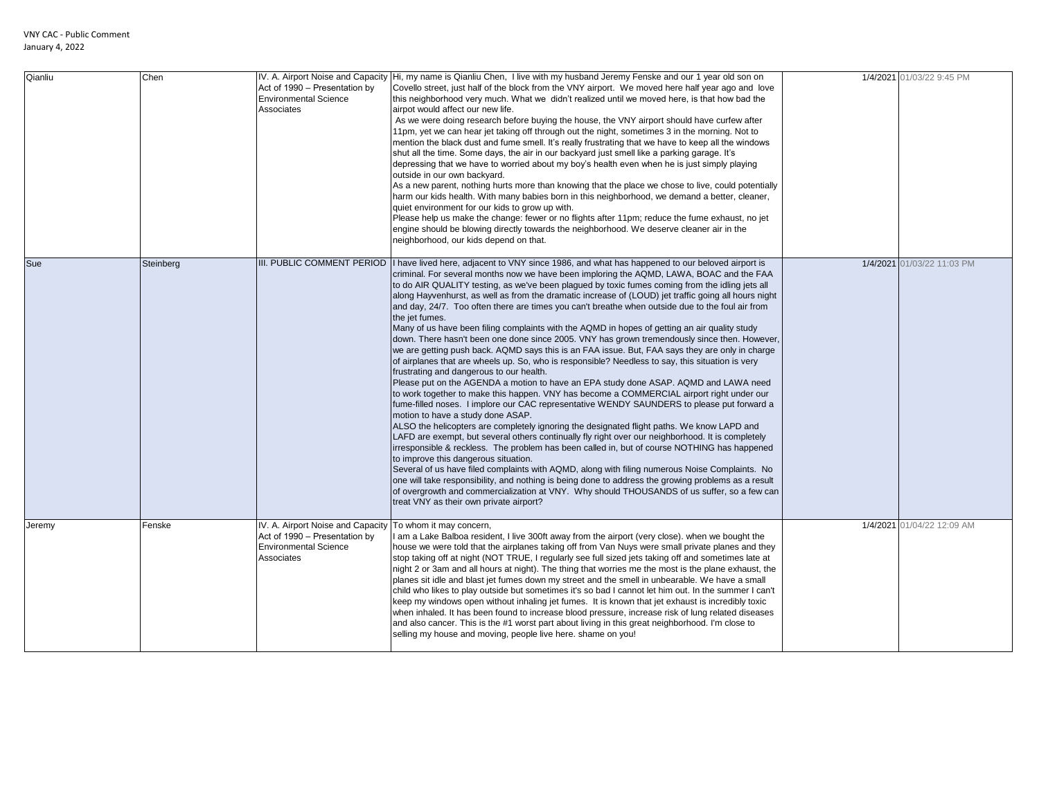| Qianliu | Chen      | IV. A. Airport Noise and Capacity<br>Act of 1990 - Presentation by<br><b>Environmental Science</b><br>Associates                         | Hi, my name is Qianliu Chen, I live with my husband Jeremy Fenske and our 1 year old son on<br>Covello street, just half of the block from the VNY airport. We moved here half year ago and love<br>this neighborhood very much. What we didn't realized until we moved here, is that how bad the<br>airpot would affect our new life.<br>As we were doing research before buying the house, the VNY airport should have curfew after<br>11pm, yet we can hear jet taking off through out the night, sometimes 3 in the morning. Not to<br>mention the black dust and fume smell. It's really frustrating that we have to keep all the windows<br>shut all the time. Some days, the air in our backyard just smell like a parking garage. It's<br>depressing that we have to worried about my boy's health even when he is just simply playing<br>outside in our own backyard.<br>As a new parent, nothing hurts more than knowing that the place we chose to live, could potentially<br>harm our kids health. With many babies born in this neighborhood, we demand a better, cleaner,<br>quiet environment for our kids to grow up with.<br>Please help us make the change: fewer or no flights after 11pm; reduce the fume exhaust, no jet<br>engine should be blowing directly towards the neighborhood. We deserve cleaner air in the<br>neighborhood, our kids depend on that.                                                                                                                                                                                                                                                                                                                                                                                                                                                                                                                                                                                                                  | 1/4/2021 01/03/22 9:45 PM  |
|---------|-----------|------------------------------------------------------------------------------------------------------------------------------------------|-------------------------------------------------------------------------------------------------------------------------------------------------------------------------------------------------------------------------------------------------------------------------------------------------------------------------------------------------------------------------------------------------------------------------------------------------------------------------------------------------------------------------------------------------------------------------------------------------------------------------------------------------------------------------------------------------------------------------------------------------------------------------------------------------------------------------------------------------------------------------------------------------------------------------------------------------------------------------------------------------------------------------------------------------------------------------------------------------------------------------------------------------------------------------------------------------------------------------------------------------------------------------------------------------------------------------------------------------------------------------------------------------------------------------------------------------------------------------------------------------------------------------------------------------------------------------------------------------------------------------------------------------------------------------------------------------------------------------------------------------------------------------------------------------------------------------------------------------------------------------------------------------------------------------------------------------------------------------------------------------------|----------------------------|
| Sue     | Steinberg | III. PUBLIC COMMENT PERIOD                                                                                                               | I have lived here, adjacent to VNY since 1986, and what has happened to our beloved airport is<br>criminal. For several months now we have been imploring the AQMD, LAWA, BOAC and the FAA<br>to do AIR QUALITY testing, as we've been plagued by toxic fumes coming from the idling jets all<br>along Hayvenhurst, as well as from the dramatic increase of (LOUD) jet traffic going all hours night<br>and day, 24/7. Too often there are times you can't breathe when outside due to the foul air from<br>the jet fumes.<br>Many of us have been filing complaints with the AQMD in hopes of getting an air quality study<br>down. There hasn't been one done since 2005. VNY has grown tremendously since then. However,<br>we are getting push back. AQMD says this is an FAA issue. But, FAA says they are only in charge<br>of airplanes that are wheels up. So, who is responsible? Needless to say, this situation is very<br>frustrating and dangerous to our health.<br>Please put on the AGENDA a motion to have an EPA study done ASAP. AQMD and LAWA need<br>to work together to make this happen. VNY has become a COMMERCIAL airport right under our<br>fume-filled noses. I implore our CAC representative WENDY SAUNDERS to please put forward a<br>motion to have a study done ASAP.<br>ALSO the helicopters are completely ignoring the designated flight paths. We know LAPD and<br>LAFD are exempt, but several others continually fly right over our neighborhood. It is completely<br>irresponsible & reckless. The problem has been called in, but of course NOTHING has happened<br>to improve this dangerous situation.<br>Several of us have filed complaints with AQMD, along with filing numerous Noise Complaints. No<br>one will take responsibility, and nothing is being done to address the growing problems as a result<br>of overgrowth and commercialization at VNY. Why should THOUSANDS of us suffer, so a few can<br>treat VNY as their own private airport? | 1/4/2021 01/03/22 11:03 PM |
| Jeremy  | Fenske    | IV. A. Airport Noise and Capacity To whom it may concern,<br>Act of 1990 - Presentation by<br><b>Environmental Science</b><br>Associates | I am a Lake Balboa resident, I live 300ft away from the airport (very close). when we bought the<br>house we were told that the airplanes taking off from Van Nuys were small private planes and they<br>stop taking off at night (NOT TRUE, I regularly see full sized jets taking off and sometimes late at<br>night 2 or 3am and all hours at night). The thing that worries me the most is the plane exhaust, the<br>planes sit idle and blast jet fumes down my street and the smell in unbearable. We have a small<br>child who likes to play outside but sometimes it's so bad I cannot let him out. In the summer I can't<br>keep my windows open without inhaling jet fumes. It is known that jet exhaust is incredibly toxic<br>when inhaled. It has been found to increase blood pressure, increase risk of lung related diseases<br>and also cancer. This is the #1 worst part about living in this great neighborhood. I'm close to<br>selling my house and moving, people live here. shame on you!                                                                                                                                                                                                                                                                                                                                                                                                                                                                                                                                                                                                                                                                                                                                                                                                                                                                                                                                                                                      | 1/4/2021 01/04/22 12:09 AM |